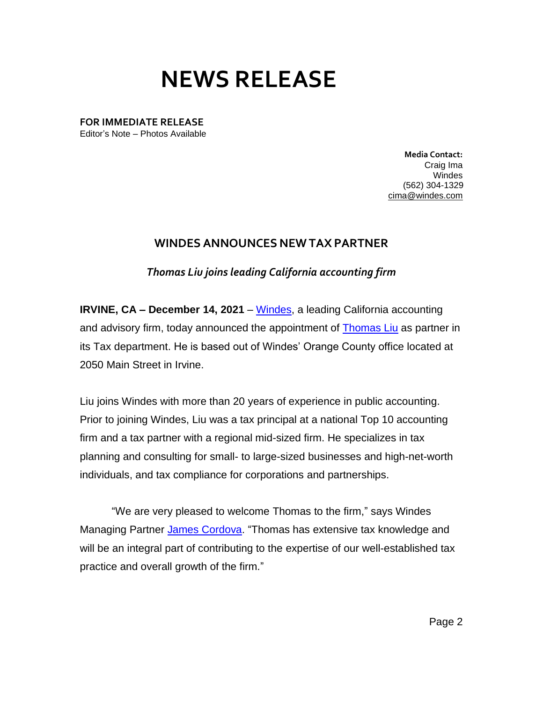## **NEWS RELEASE**

**FOR IMMEDIATE RELEASE** Editor's Note – Photos Available

> **Media Contact:**  Craig Ima Windes (562) 304-1329 [cima@windes.com](mailto:cima@windes.com)

## **WINDES ANNOUNCES NEW TAX PARTNER**

*Thomas Liu joins leading California accounting firm*

**IRVINE, CA – December 14, 2021** – [Windes,](https://windes.com/) a leading California accounting and advisory firm, today announced the appointment of [Thomas Liu](https://windes.com/about/windes-leadership/thomas-liu-cpa-mst/) as partner in its Tax department. He is based out of Windes' Orange County office located at 2050 Main Street in Irvine.

Liu joins Windes with more than 20 years of experience in public accounting. Prior to joining Windes, Liu was a tax principal at a national Top 10 accounting firm and a tax partner with a regional mid-sized firm. He specializes in tax planning and consulting for small- to large-sized businesses and high-net-worth individuals, and tax compliance for corporations and partnerships.

"We are very pleased to welcome Thomas to the firm," says Windes Managing Partner [James Cordova.](https://windes.com/about/windes-leadership/james-a-cordova-cpa-mst/) "Thomas has extensive tax knowledge and will be an integral part of contributing to the expertise of our well-established tax practice and overall growth of the firm."